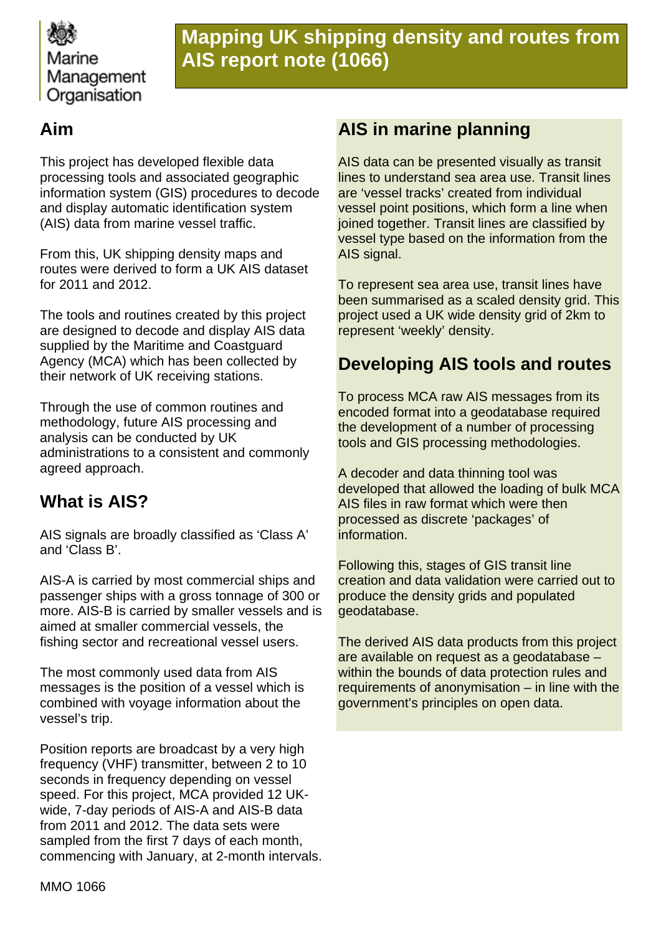

# **Mapping UK shipping density and routes from AIS report note (1066)**

## **Aim**

This project has developed flexible data processing tools and associated geographic information system (GIS) procedures to decode and display automatic identification system (AIS) data from marine vessel traffic.

From this, UK shipping density maps and routes were derived to form a UK AIS dataset for 2011 and 2012.

The tools and routines created by this project are designed to decode and display AIS data supplied by the Maritime and Coastguard Agency (MCA) which has been collected by their network of UK receiving stations.

Through the use of common routines and methodology, future AIS processing and analysis can be conducted by UK administrations to a consistent and commonly agreed approach.

## **What is AIS?**

AIS signals are broadly classified as 'Class A' and 'Class B'.

AIS-A is carried by most commercial ships and passenger ships with a gross tonnage of 300 or more. AIS-B is carried by smaller vessels and is aimed at smaller commercial vessels, the fishing sector and recreational vessel users.

The most commonly used data from AIS messages is the position of a vessel which is combined with voyage information about the vessel's trip.

Position reports are broadcast by a very high frequency (VHF) transmitter, between 2 to 10 seconds in frequency depending on vessel speed. For this project, MCA provided 12 UKwide, 7-day periods of AIS-A and AIS-B data from 2011 and 2012. The data sets were sampled from the first 7 days of each month, commencing with January, at 2-month intervals.

### **AIS in marine planning**

AIS data can be presented visually as transit lines to understand sea area use. Transit lines are 'vessel tracks' created from individual vessel point positions, which form a line when joined together. Transit lines are classified by vessel type based on the information from the AIS signal.

To represent sea area use, transit lines have been summarised as a scaled density grid. This project used a UK wide density grid of 2km to represent 'weekly' density.

## **Developing AIS tools and routes**

To process MCA raw AIS messages from its encoded format into a geodatabase required the development of a number of processing tools and GIS processing methodologies.

A decoder and data thinning tool was developed that allowed the loading of bulk MCA AIS files in raw format which were then processed as discrete 'packages' of information.

Following this, stages of GIS transit line creation and data validation were carried out to produce the density grids and populated geodatabase.

The derived AIS data products from this project are available on request as a geodatabase – within the bounds of data protection rules and requirements of anonymisation – in line with the government's principles on open data.